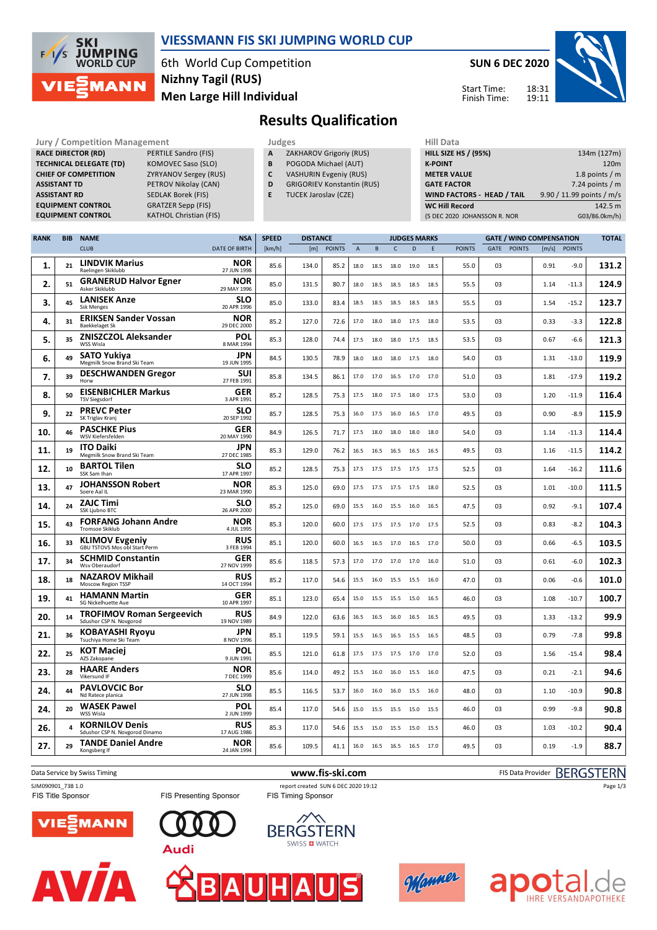

### **VIESSMANN FIS SKI JUMPING WORLD CUP**

6th World Cup Competition **Men Large Hill Individual Nizhny Tagil (RUS)**

**EXATHOL Christian (FIS)** 

**SUN 6 DEC 2020**

Start Time: Finish Time: 18:31



## **Results Qualification**

Jury / Competition Management<br>**RACE DIRECTOR (RD)** PERTILE Sandro (FIS) **A ZAKHAROV Grigoriy (RUS) HILL SIZE HILL SIZE H RACE DIRECTOR (RD) TECHNICAL DELEGATE (TD)** KOMOVEC Saso (SLO) **CHIEF OF COMPETITION** ZYRYANOV Sergey (RUS) **ASSISTANT TD** PETROV Nikolay (CAN) **ASSISTANT RD** SEDLAK Borek (FIS) **EQUIPMENT CONTROL GRATZER Sepp (FIS)**<br>**EQUIPMENT CONTROL** KATHOL Christian (F

- **A** ZAKHAROV Grigoriy (RUS)
- **B** POGODA Michael (AUT)
- **C** VASHURIN Evgeniy (RUS)
- **D** GRIGORIEV Konstantin (RUS)
- **E** TUCEK Jaroslav (CZE)

| 11111 <i>Data</i>                 |                           |
|-----------------------------------|---------------------------|
| <b>HILL SIZE HS / (95%)</b>       | 134m (127m)               |
| <b>K-POINT</b>                    | 120 <sub>m</sub>          |
| <b>METER VALUE</b>                | 1.8 points $/m$           |
| <b>GATE FACTOR</b>                | 7.24 points $/m$          |
| <b>WIND FACTORS - HEAD / TAIL</b> | 9.90 / 11.99 points / m/s |
| <b>WC Hill Record</b>             | 142.5 m                   |
| (5 DEC 2020 JOHANSSON R. NOR      | G03/86.0km/h)             |

| <b>RANK</b> | <b>BIB</b> | <b>NAME</b>                                                          | <b>NSA</b>                              | <b>SPEED</b> | <b>DISTANCE</b> |               |                |           |                | <b>JUDGES MARKS</b> |      |               | <b>GATE / WIND COMPENSATION</b> |               |       |               | <b>TOTAL</b> |
|-------------|------------|----------------------------------------------------------------------|-----------------------------------------|--------------|-----------------|---------------|----------------|-----------|----------------|---------------------|------|---------------|---------------------------------|---------------|-------|---------------|--------------|
|             |            | <b>CLUB</b>                                                          | <b>DATE OF BIRTH</b>                    | [km/h]       | [m]             | <b>POINTS</b> | $\overline{A}$ | B         | $\mathsf{C}$   | $\mathbf{D}$        | E    | <b>POINTS</b> | GATE                            | <b>POINTS</b> | [m/s] | <b>POINTS</b> |              |
| 1.          | 21         | <b>LINDVIK Marius</b><br>Raelingen Skiklubb                          | <b>NOR</b><br>27 JUN 1998               | 85.6         | 134.0           | 85.2          | 18.0           | 18.5      | 18.0           | 19.0                | 18.5 | 55.0          | 03                              |               | 0.91  | $-9.0$        | 131.2        |
| 2.          | 51         | <b>GRANERUD Halvor Egner</b><br>Asker Skiklubb                       | <b>NOR</b><br>29 MAY 1996               | 85.0         | 131.5           | 80.7          | 18.0           | 18.5      | 18.5           | 18.5                | 18.5 | 55.5          | 03                              |               | 1.14  | -11.3         | 124.9        |
| з.          | 45         | <b>LANISEK Anze</b><br><b>Ssk Menges</b>                             | SLO<br>20 APR 1996                      | 85.0         | 133.0           | 83.4          | 18.5           | 18.5      | 18.5           | 18.5                | 18.5 | 55.5          | 03                              |               | 1.54  | $-15.2$       | 123.7        |
| 4.          | 31         | <b>ERIKSEN Sander Vossan</b><br><b>Baekkelaget Sk</b>                | <b>NOR</b><br>29 DEC 2000               | 85.2         | 127.0           | 72.6          | 17.0           | 18.0      | 18.0           | 17.5                | 18.0 | 53.5          | 03                              |               | 0.33  | $-3.3$        | 122.8        |
| 5.          | 35         | <b>ZNISZCZOL Aleksander</b><br>WSS Wisla                             | POL<br>8 MAR 1994                       | 85.3         | 128.0           | 74.4          | 17.5           | 18.0      | 18.0           | 17.5                | 18.5 | 53.5          | 0 <sup>3</sup>                  |               | 0.67  | $-6.6$        | 121.3        |
| 6.          | 49         | <b>SATO Yukiya</b><br>Megmilk Snow Brand Ski Team                    | <b>JPN</b><br>19 JUN 1995               | 84.5         | 130.5           | 78.9          | 18.0           | 18.0      | 18.0           | 17.5                | 18.0 | 54.0          | 03                              |               | 1.31  | $-13.0$       | 119.9        |
| 7.          | 39         | <b>DESCHWANDEN Gregor</b><br>Horw                                    | SUI<br>27 FEB 1991                      | 85.8         | 134.5           | 86.1          | 17.0           | 17.0      | 16.5           | 17.0                | 17.0 | 51.0          | 03                              |               | 1.81  | $-17.9$       | 119.2        |
| 8.          | 50         | <b>EISENBICHLER Markus</b><br><b>TSV Siegsdorf</b>                   | <b>GER</b><br>3 APR 1991                | 85.2         | 128.5           | 75.3          | 17.5           | 18.0      | 17.5           | 18.0                | 17.5 | 53.0          | 03                              |               | 1.20  | $-11.9$       | 116.4        |
| 9.          | 22         | <b>PREVC Peter</b><br>SK Triglav Kranj                               | <b>SLO</b><br>20 SEP 1992               | 85.7         | 128.5           | 75.3          | 16.0           | 17.5 16.0 |                | 16.5                | 17.0 | 49.5          | 03                              |               | 0.90  | $-8.9$        | 115.9        |
| 10.         | 46         | <b>PASCHKE Pius</b><br>WSV Kiefersfelden                             | <b>GER</b><br>20 MAY 1990               | 84.9         | 126.5           | 71.7          | 17.5           | 18.0      | 18.0           | 18.0                | 18.0 | 54.0          | 03                              |               | 1.14  | $-11.3$       | 114.4        |
| 11.         | 19         | <b>ITO Daiki</b><br>Megmilk Snow Brand Ski Team                      | <b>JPN</b><br>27 DEC 1985               | 85.3         | 129.0           | 76.2          | 16.5           | 16.5      | 16.5           | 16.5                | 16.5 | 49.5          | 03                              |               | 1.16  | $-11.5$       | 114.2        |
| 12.         | 10         | <b>BARTOL Tilen</b><br>SSK Sam Ihan                                  | <b>SLO</b><br>17 APR 1997               | 85.2         | 128.5           | 75.3          | 17.5           |           | 17.5 17.5 17.5 |                     | 17.5 | 52.5          | 03                              |               | 1.64  | $-16.2$       | 111.6        |
| 13.         | 47         | <b>JOHANSSON Robert</b><br>Soere Aal IL                              | <b>NOR</b><br>23 MAR 1990               | 85.3         | 125.0           | 69.0          | 17.5           | 17.5      | 17.5           | 17.5                | 18.0 | 52.5          | 03                              |               | 1.01  | $-10.0$       | 111.5        |
| 14.         | 24         | <b>ZAJC Timi</b><br>SSK Ljubno BTC                                   | <b>SLO</b><br>26 APR 2000               | 85.2         | 125.0           | 69.0          | 15.5           | 16.0      | 15.5           | 16.0                | 16.5 | 47.5          | 03                              |               | 0.92  | $-9.1$        | 107.4        |
| 15.         | 43         | <b>FORFANG Johann Andre</b><br><b>Tromsoe Skiklub</b>                | <b>NOR</b><br>4 JUL 1995                | 85.3         | 120.0           | 60.0          | 17.5           | 17.5 17.5 |                | 17.0                | 17.5 | 52.5          | 03                              |               | 0.83  | $-8.2$        | 104.3        |
| 16          | 33         | <b>KLIMOV Evgeniy</b><br>GBU TSTOVS Mos obl Start Perm               | <b>RUS</b><br>3 FEB 1994                | 85.1         | 120.0           | 60.0          | 16.5           | 16.5      | 17.0           | 16.5                | 17.0 | 50.0          | 03                              |               | 0.66  | $-6.5$        | 103.5        |
| 17.         | 34         | <b>SCHMID Constantin</b><br>Wsy Oberaudorf<br><b>NAZAROV Mikhail</b> | <b>GER</b><br>27 NOV 1999<br><b>RUS</b> | 85.6         | 118.5           | 57.3          | 17.0           | 17.0      | 17.0           | 17.0                | 16.0 | 51.0          | 03                              |               | 0.61  | $-6.0$        | 102.3        |
| 18.         | 18         | <b>Moscow Region TSSP</b><br><b>HAMANN Martin</b>                    | 14 OCT 1994<br><b>GER</b>               | 85.2         | 117.0           | 54.6          | 15.5           | 16.0      | 15.5           | 15.5                | 16.0 | 47.0          | 03                              |               | 0.06  | $-0.6$        | 101.0        |
| 19.         | 41         | SG Nickelhuette Aue<br><b>TROFIMOV Roman Sergeevich</b>              | 10 APR 1997<br><b>RUS</b>               | 85.1         | 123.0           | 65.4          | 15.0           | 15.5      | 15.5           | 15.0                | 16.5 | 46.0          | 03                              |               | 1.08  | $-10.7$       | 100.7        |
| 20.         | 14         | Sdushor CSP N. Novgorod<br><b>KOBAYASHI Ryoyu</b>                    | 19 NOV 1989<br><b>JPN</b>               | 84.9         | 122.0           | 63.6          | 16.5           | 16.5      | 16.0           | 16.5                | 16.5 | 49.5          | 03                              |               | 1.33  | -13.2         | 99.9         |
| 21.         | 36         | Tsuchiya Home Ski Team<br><b>KOT Maciei</b>                          | 8 NOV 1996<br>POL                       | 85.1         | 119.5           | 59.1          | 15.5           | 16.5 16.5 |                | 15.5                | 16.5 | 48.5          | 03                              |               | 0.79  | $-7.8$        | 99.8         |
| 22.         | 25         | AZS Zakopane<br><b>HAARE Anders</b>                                  | 9 JUN 1991<br><b>NOR</b>                | 85.5         | 121.0           | 61.8          | 17.5           | 17.5      | 17.5           | 17.0                | 17.0 | 52.0          | 03                              |               | 1.56  | $-15.4$       | 98.4         |
| 23.         | 28         | Vikersund IF<br><b>PAVLOVCIC Bor</b>                                 | 7 DEC 1999<br><b>SLO</b>                | 85.6         | 114.0           | 49.2          | 15.5           | 16.0      | 16.0           | 15.5                | 16.0 | 47.5          | 03                              |               | 0.21  | $-2.1$        | 94.6         |
| 24.         | 44         | Nd Ratece planica<br><b>WASEK Pawel</b>                              | 27 JUN 1998<br>POL                      | 85.5         | 116.5           | 53.7          | 16.0           | 16.0      | 16.0           | 15.5                | 16.0 | 48.0          | 03                              |               | 1.10  | $-10.9$       | 90.8         |
| 24.         | 20         | WSS Wisla<br><b>KORNILOV Denis</b>                                   | 2 JUN 1999<br><b>RUS</b>                | 85.4         | 117.0           | 54.6          | 15.0           | 15.5      | 15.5           | 15.0                | 15.5 | 46.0          | 03                              |               | 0.99  | $-9.8$        | 90.8         |
| 26.         | 4          | Sdushor CSP N. Novgorod Dinamo                                       | 17 AUG 1986                             | 85.3         | 117.0           | 54.6          | 15.5           | 15.0 15.5 |                | 15.0                | 15.5 | 46.0          | 03                              |               | 1.03  | $-10.2$       | 90.4         |
| 27.         | 29         | <b>TANDE Daniel Andre</b><br>Kongsberg If                            | <b>NOR</b><br>24 JAN 1994               | 85.6         | 109.5           | 41.1          | 16.0           | 16.5 16.5 |                | 16.5                | 17.0 | 49.5          | 03                              |               | 0.19  | $-1.9$        | 88.7         |

Data Service by Swiss Timing **www.fis-ski.com www.fis-ski.com** FIS Data Provider BERGSTERN

FIS Title Sponsor

FIS Presenting Sponsor

**Audi** 

SJM090901\_73B 1.0 report created SUN 6 DEC 2020 19:12<br>FIS Title Sponsor FIS Timing Sponsor FIS Timing Sponsor





VIEZMANN









Page 1/3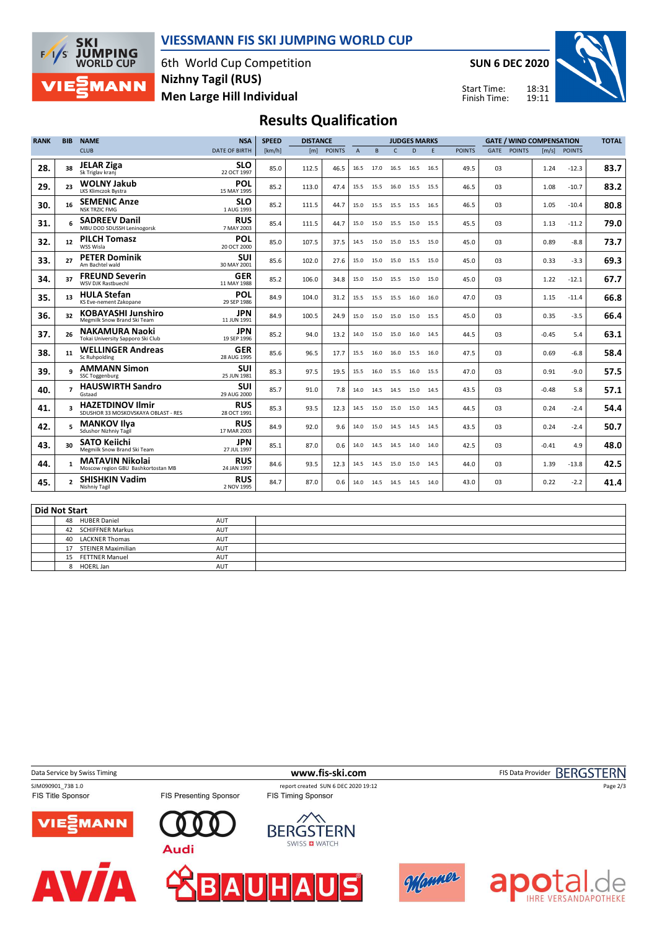

40 LACKNER Thomas AUT<br>17 STEINER Maximilian AUT

15 FETTNER Manuel AUT 8 HOERL Jan AUT

17 STEINER Maximilian

### **VIESSMANN FIS SKI JUMPING WORLD CUP**

6th World Cup Competition **Men Large Hill Individual Nizhny Tagil (RUS)**

**SUN 6 DEC 2020**

Start Time: Finish Time:



**IHRE VERSANDAPOTHEKE** 

# **Results Qualification**

| <b>RANK</b>          | <b>BIB</b>              | <b>NAME</b>                                                    | <b>NSA</b>                | <b>SPEED</b> | <b>DISTANCE</b> |               |                | <b>JUDGES MARKS</b> |                |      |      |               | <b>GATE / WIND COMPENSATION</b> | <b>TOTAL</b>  |                     |               |      |
|----------------------|-------------------------|----------------------------------------------------------------|---------------------------|--------------|-----------------|---------------|----------------|---------------------|----------------|------|------|---------------|---------------------------------|---------------|---------------------|---------------|------|
|                      |                         | <b>CLUB</b>                                                    | <b>DATE OF BIRTH</b>      | [km/h]       | [m]             | <b>POINTS</b> | $\overline{A}$ | B                   | $\mathsf{C}$   | D    | E    | <b>POINTS</b> | GATE                            | <b>POINTS</b> | $\lceil m/s \rceil$ | <b>POINTS</b> |      |
| 28.                  | 38                      | <b>JELAR Ziga</b><br>Sk Triglav kranj                          | <b>SLO</b><br>22 OCT 1997 | 85.0         | 112.5           | 46.5          | 16.5           | 17.0                | 16.5           | 16.5 | 16.5 | 49.5          | 0 <sub>3</sub>                  |               | 1.24                | $-12.3$       | 83.7 |
| 29.                  | 23                      | <b>WOLNY Jakub</b><br>LKS Klimczok Bystra                      | POL<br>15 MAY 1995        | 85.2         | 113.0           | 47.4          | 15.5           |                     | 15.5 16.0      | 15.5 | 15.5 | 46.5          | 0 <sub>3</sub>                  |               | 1.08                | $-10.7$       | 83.2 |
| 30.                  | 16                      | <b>SEMENIC Anze</b><br><b>NSK TRZIC FMG</b>                    | <b>SLO</b><br>1 AUG 1993  | 85.2         | 111.5           | 44.7          | 15.0           |                     | 15.5 15.5      | 15.5 | 16.5 | 46.5          | 03                              |               | 1.05                | $-10.4$       | 80.8 |
| 31.                  |                         | <b>SADREEV Danil</b><br>MBU DOD SDUSSH Leninogorsk             | <b>RUS</b><br>7 MAY 2003  | 85.4         | 111.5           | 44.7          | 15.0           |                     | 15.0 15.5      | 15.0 | 15.5 | 45.5          | 03                              |               | 1.13                | $-11.2$       | 79.0 |
| 32.                  | 12                      | <b>PILCH Tomasz</b><br>WSS Wisla                               | <b>POL</b><br>20 OCT 2000 | 85.0         | 107.5           | 37.5          | 14.5           | 15.0                | 15.0           | 15.5 | 15.0 | 45.0          | 0 <sub>3</sub>                  |               | 0.89                | $-8.8$        | 73.7 |
| 33.                  | 27                      | <b>PETER Dominik</b><br>Am Bachtel wald                        | <b>SUI</b><br>30 MAY 2001 | 85.6         | 102.0           | 27.6          | 15.0           |                     | 15.0 15.0 15.5 |      | 15.0 | 45.0          | 03                              |               | 0.33                | $-3.3$        | 69.3 |
| 34.                  | 37                      | <b>FREUND Severin</b><br><b>WSV DJK Rastbuechl</b>             | <b>GER</b><br>11 MAY 1988 | 85.2         | 106.0           | 34.8          | 15.0           |                     | 15.0 15.5 15.0 |      | 15.0 | 45.0          | 03                              |               | 1.22                | $-12.1$       | 67.7 |
| 35.                  | 13                      | <b>HULA Stefan</b><br>KS Eve-nement Zakopane                   | <b>POL</b><br>29 SEP 1986 | 84.9         | 104.0           | 31.2          | 15.5           |                     | 15.5 15.5      | 16.0 | 16.0 | 47.0          | 03                              |               | 1.15                | $-11.4$       | 66.8 |
| 36.                  | 32                      | <b>KOBAYASHI Junshiro</b><br>Megmilk Snow Brand Ski Team       | <b>JPN</b><br>11 JUN 1991 | 84.9         | 100.5           | 24.9          | 15.0           | 15.0                | 15.0           | 15.0 | 15.5 | 45.0          | 0 <sub>3</sub>                  |               | 0.35                | $-3.5$        | 66.4 |
| 37.                  | 26                      | <b>NAKAMURA Naoki</b><br>Tokai University Sapporo Ski Club     | <b>JPN</b><br>19 SEP 1996 | 85.2         | 94.0            | 13.2          | 14.0           |                     | 15.0 15.0      | 16.0 | 14.5 | 44.5          | 03                              |               | -0.45               | 5.4           | 63.1 |
| 38.                  | 11                      | <b>WELLINGER Andreas</b><br>Sc Ruhpolding                      | <b>GER</b><br>28 AUG 1995 | 85.6         | 96.5            | 17.7          | 15.5           | 16.0                | 16.0           | 15.5 | 16.0 | 47.5          | 0 <sub>3</sub>                  |               | 0.69                | $-6.8$        | 58.4 |
| 39.                  |                         | <b>AMMANN Simon</b><br><b>SSC Toggenburg</b>                   | <b>SUI</b><br>25 JUN 1981 | 85.3         | 97.5            | 19.5          | 15.5           |                     | 16.0 15.5      | 16.0 | 15.5 | 47.0          | 03                              |               | 0.91                | $-9.0$        | 57.5 |
| 40.                  | $\overline{ }$          | <b>HAUSWIRTH Sandro</b><br>Gstaad                              | <b>SUI</b><br>29 AUG 2000 | 85.7         | 91.0            | 7.8           | 14.0           | 14.5                | 14.5           | 15.0 | 14.5 | 43.5          | 03                              |               | $-0.48$             | 5.8           | 57.1 |
| 41.                  | $\overline{\mathbf{a}}$ | <b>HAZETDINOV Ilmir</b><br>SDUSHOR 33 MOSKOVSKAYA OBLAST - RES | <b>RUS</b><br>28 OCT 1991 | 85.3         | 93.5            | 12.3          | 14.5           | 15.0                | 15.0           | 15.0 | 14.5 | 44.5          | 03                              |               | 0.24                | $-2.4$        | 54.4 |
| 42.                  | 5                       | <b>MANKOV Ilva</b><br>Sdushor Nizhniy Tagil                    | <b>RUS</b><br>17 MAR 2003 | 84.9         | 92.0            | 9.6           | 14.0           |                     | 15.0 14.5 14.5 |      | 14.5 | 43.5          | 03                              |               | 0.24                | $-2.4$        | 50.7 |
| 43.                  | 30                      | <b>SATO Keiichi</b><br>Megmilk Snow Brand Ski Team             | <b>JPN</b><br>27 JUL 1997 | 85.1         | 87.0            | 0.6           | 14.0           | 14.5                | 14.5           | 14.0 | 14.0 | 42.5          | 03                              |               | $-0.41$             | 4.9           | 48.0 |
| 44.                  | $\mathbf{1}$            | <b>MATAVIN Nikolai</b><br>Moscow region GBU Bashkortostan MB   | <b>RUS</b><br>24 JAN 1997 | 84.6         | 93.5            | 12.3          | 14.5           | 14.5                | 15.0           | 15.0 | 14.5 | 44.0          | 03                              |               | 1.39                | $-13.8$       | 42.5 |
| 45.                  | $\mathbf{z}$            | <b>SHISHKIN Vadim</b><br>Nishniy Tagil                         | <b>RUS</b><br>2 NOV 1995  | 84.7         | 87.0            | 0.6           | 14.0           |                     | 14.5 14.5 14.5 |      | 14.0 | 43.0          | 03                              |               | 0.22                | $-2.2$        | 41.4 |
|                      |                         |                                                                |                           |              |                 |               |                |                     |                |      |      |               |                                 |               |                     |               |      |
| <b>Did Not Start</b> |                         |                                                                |                           |              |                 |               |                |                     |                |      |      |               |                                 |               |                     |               |      |
|                      | 48                      | <b>HUBER Daniel</b>                                            | <b>AUT</b>                |              |                 |               |                |                     |                |      |      |               |                                 |               |                     |               |      |
|                      |                         | 42 SCHIFFNER Markus                                            | AUT                       |              |                 |               |                |                     |                |      |      |               |                                 |               |                     |               |      |